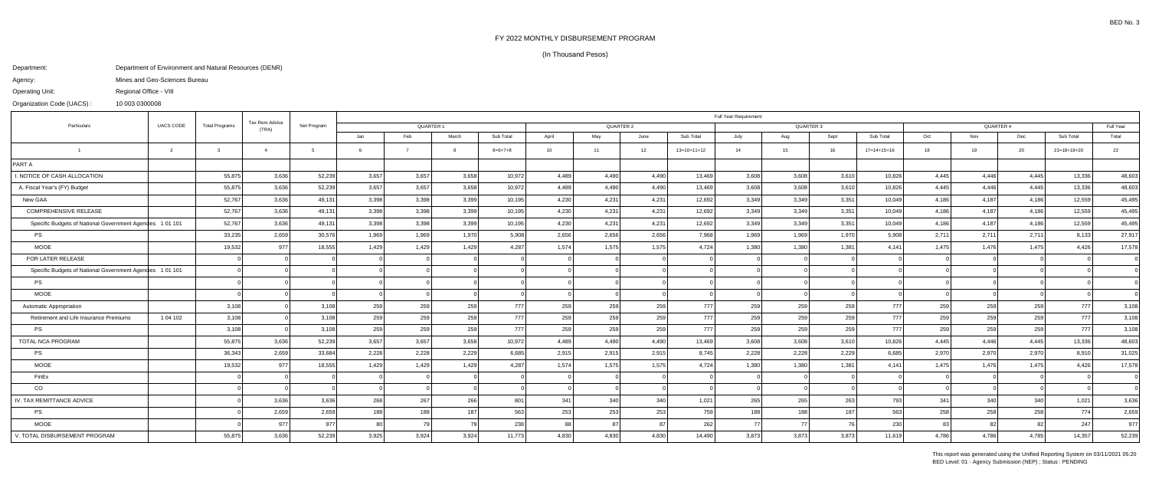(In Thousand Pesos)

## Department:

Agency:

Operating Unit:

Department of Environment and Natural Resources (DENR)Mines and Geo-Sciences Bureau

Organization Code (UACS) :10 003 0300008

Regional Office - VIII

|                                                           | <b>UACS CODE</b> | <b>Total Programs</b> | Tax Rem Advice<br>(TRA) |             | Full Year Requirement |                |       |           |           |       |       |               |           |           |       |             |           |       |       |                     |           |
|-----------------------------------------------------------|------------------|-----------------------|-------------------------|-------------|-----------------------|----------------|-------|-----------|-----------|-------|-------|---------------|-----------|-----------|-------|-------------|-----------|-------|-------|---------------------|-----------|
| Particulars                                               |                  |                       |                         | Net Program | QUARTER 1             |                |       |           | QUARTER 2 |       |       |               | QUARTER 3 |           |       |             | QUARTER 4 |       |       |                     | Full Year |
|                                                           |                  |                       |                         |             | Jan                   | Feb            | March | Sub Total | April     | May   | June  | Sub Total     | July      | Aug       | Sept  | Sub Total   | Oct       | Nov   | Dec   | Sub Total           | Total     |
|                                                           | $\overline{2}$   | $\mathbf{R}$          | $\overline{4}$          | -5          | - 6                   | $\overline{7}$ | -8    | $9=6+7+8$ | 10        | 11    | 12    | $13=10+11+12$ | 14        | 15        | 16    | 17=14+15+16 | 18        | 19    | 20    | $21 = 18 + 19 + 20$ | 22        |
| <b>PARTA</b>                                              |                  |                       |                         |             |                       |                |       |           |           |       |       |               |           |           |       |             |           |       |       |                     |           |
| I. NOTICE OF CASH ALLOCATION                              |                  | 55,875                | 3,636                   | 52,239      | 3,657                 | 3,657          | 3,658 | 10,972    | 4,489     | 4,490 | 4,490 | 13,469        | 3,608     | 3,608     | 3,610 | 10,826      | 4,445     | 4,446 | 4,445 | 13,336              | 48,603    |
| A. Fiscal Year's (FY) Budget                              |                  | 55,875                | 3,636                   | 52,239      | 3,657                 | 3,657          | 3,658 | 10,972    | 4,489     | 4,490 | 4,490 | 13,469        | 3,608     | 3,608     | 3,610 | 10,826      | 4,445     | 4,446 | 4,445 | 13,336              | 48,603    |
| New GAA                                                   |                  | 52,767                | 3,636                   | 49,131      | 3,398                 | 3,398          | 3,399 | 10,195    | 4,230     | 4,231 | 4,231 | 12,692        | 3,349     | 3,349     | 3,351 | 10,049      | 4,186     | 4,187 | 4,186 | 12,559              | 45,495    |
| COMPREHENSIVE RELEASE                                     |                  | 52,767                | 3,636                   | 49,131      | 3,398                 | 3,398          | 3,399 | 10,195    | 4,230     | 4,231 | 4,231 | 12,692        | 3,349     | 3,349     | 3,351 | 10,049      | 4,186     | 4,187 | 4,186 | 12,559              | 45,495    |
| Specific Budgets of National Government Agendies 1 01 101 |                  | 52,767                | 3,636                   | 49,131      | 3,398                 | 3,398          | 3,399 | 10,195    | 4,230     | 4,231 | 4,231 | 12,692        | 3,349     | 3,349     | 3,351 | 10,049      | 4,186     | 4,187 | 4,186 | 12,559              | 45,495    |
| <b>PS</b>                                                 |                  | 33,235                | 2,659                   | 30,576      | 1,969                 | 1,969          | 1,970 | 5,908     | 2,656     | 2,656 | 2,656 | 7,968         | 1,969     | 1,969     | 1,970 | 5,908       | 2,711     | 2,711 | 2,711 | 8,133               | 27,917    |
| <b>MOOE</b>                                               |                  | 19,532                | 977                     | 18,555      | 1,429                 | 1,429          | 1,429 | 4,287     | 1,574     | 1,575 | 1,575 | 4,724         | 1,380     | 1,380     | 1,381 | 4,141       | 1,475     | 1,476 | 1,475 | 4,426               | 17,578    |
| FOR LATER RELEASE                                         |                  |                       |                         |             |                       |                |       |           |           |       |       |               |           |           |       |             |           |       |       |                     |           |
| Specific Budgets of National Government Agendies 101101   |                  |                       |                         |             |                       |                |       |           |           |       |       |               |           |           |       |             |           |       |       |                     |           |
| <b>PS</b>                                                 |                  |                       |                         |             |                       |                |       |           |           |       |       |               |           |           |       |             |           |       |       |                     |           |
| MOOE                                                      |                  |                       |                         |             |                       |                |       |           |           |       |       |               |           |           |       |             |           |       |       |                     |           |
| <b>Automatic Appropriation</b>                            |                  | 3,108                 |                         | 3,108       | 259                   | 259            | 259   | 777       | 259       | 259   | 259   | 777           | 259       | 259       | 259   | 777         | 259       | 259   | 259   | 777                 | 3,108     |
| Retirement and Life Insurance Premiums                    | 1 04 102         | 3,108                 |                         | 3,108       | 259                   | 259            | 259   | 777       | 259       | 259   | 259   | 777           | 259       | 259       | 259   | 777         | 259       | 259   | 259   | 777                 | 3,108     |
| PS                                                        |                  | 3,108                 |                         | 3,108       | 259                   | 259            | 259   | 777       | 259       | 259   | 259   | 777           | 259       | 259       | 259   | 777         | 259       | 259   | 259   | 777                 | 3,108     |
| TOTAL NCA PROGRAM                                         |                  | 55,875                | 3,636                   | 52,239      | 3,657                 | 3,657          | 3,658 | 10,972    | 4,489     | 4,490 | 4,490 | 13,469        | 3,608     | 3,608     | 3,610 | 10,826      | 4,445     | 4,446 | 4,445 | 13,336              | 48,603    |
| PS                                                        |                  | 36,343                | 2,659                   | 33,684      | 2,228                 | 2,228          | 2,229 | 6,685     | 2,915     | 2,915 | 2,915 | 8,745         | 2,228     | 2,228     | 2,229 | 6,685       | 2,970     | 2,970 | 2,970 | 8,910               | 31,025    |
| <b>MOOE</b>                                               |                  | 19,532                | 977                     | 18,555      | 1,429                 | 1,429          | 1,429 | 4,287     | 1,574     | 1,575 | 1,575 | 4,724         | 1,380     | 1,380     | 1,381 | 4,141       | 1,475     | 1,476 | 1,475 | 4,426               | 17,578    |
| FinEx                                                     |                  |                       |                         |             |                       |                |       |           |           |       |       |               |           |           |       |             |           |       |       |                     |           |
| CO                                                        |                  |                       |                         |             |                       |                |       |           |           |       |       |               |           |           |       |             |           |       |       |                     |           |
| IV. TAX REMITTANCE ADVICE                                 |                  |                       | 3,636                   | 3,636       | 268                   | 267            | 266   | 801       | 341       | 340   | 340   | 1,021         | 265       | 265       | 263   | 793         | 341       | 340   | 340   | 1,021               | 3,636     |
| <b>PS</b>                                                 |                  |                       | 2,659                   | 2,659       | 188                   | 188 L          | 187   | 563       | 253       | 253   | 253   | 759           | 188       | 188       | 187   | 563         | 258       | 258   | 258   | 774                 | 2,659     |
| <b>MOOE</b>                                               |                  |                       | 977                     | 977         | 80                    | 79             | 79    | 238       | -88       |       | 87    | 262           | 77 I      | <b>77</b> |       | 230         | -83 l     |       | 82    | 247                 | 977       |
| V. TOTAL DISBURSEMENT PROGRAM                             |                  | 55,875                | 3,636                   | 52,239      | 3,925                 | 3,924          | 3,924 | 11,773    | 4,830     | 4,830 | 4,830 | 14,490        | 3,873     | 3,873     | 3,873 | 11,619      | 4,786     | 4,786 | 4,785 | 14,357              | 52,239    |

This report was generated using the Unified Reporting System on 03/11/2021 05:20BED Level: 01 - Agency Submission (NEP) ; Status : PENDING